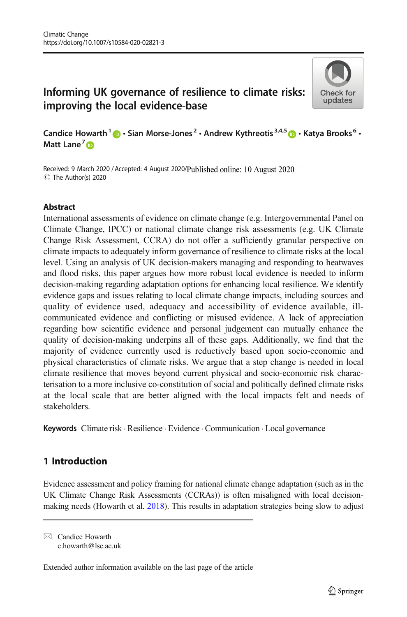# Informing UK governance of resilience to climate risks: improving the local evidence-base



Candice Howarth<sup>1</sup>  $\bigcirc$  · Sian Morse-Jones<sup>2</sup> · Andrew Kythreotis<sup>3,4,5</sup>  $\bigcirc$  · Katya Brooks<sup>6</sup> · Matt Lane<sup>7</sup><sup>®</sup>

Received: 9 March 2020 / Accepted: 4 August 2020/Published online: 10 August 2020 C The Author(s) 2020

#### Abstract

International assessments of evidence on climate change (e.g. Intergovernmental Panel on Climate Change, IPCC) or national climate change risk assessments (e.g. UK Climate Change Risk Assessment, CCRA) do not offer a sufficiently granular perspective on climate impacts to adequately inform governance of resilience to climate risks at the local level. Using an analysis of UK decision-makers managing and responding to heatwaves and flood risks, this paper argues how more robust local evidence is needed to inform decision-making regarding adaptation options for enhancing local resilience. We identify evidence gaps and issues relating to local climate change impacts, including sources and quality of evidence used, adequacy and accessibility of evidence available, illcommunicated evidence and conflicting or misused evidence. A lack of appreciation regarding how scientific evidence and personal judgement can mutually enhance the quality of decision-making underpins all of these gaps. Additionally, we find that the majority of evidence currently used is reductively based upon socio-economic and physical characteristics of climate risks. We argue that a step change is needed in local climate resilience that moves beyond current physical and socio-economic risk characterisation to a more inclusive co-constitution of social and politically defined climate risks at the local scale that are better aligned with the local impacts felt and needs of stakeholders.

Keywords Climate risk . Resilience . Evidence . Communication . Local governance

## 1 Introduction

Evidence assessment and policy framing for national climate change adaptation (such as in the UK Climate Change Risk Assessments (CCRAs)) is often misaligned with local decisionmaking needs (Howarth et al. [2018](#page-20-0)). This results in adaptation strategies being slow to adjust

 $\boxtimes$  Candice Howarth [c.howarth@lse.ac.uk](mailto:c.howarth@lse.ac.uk)

Extended author information available on the last page of the article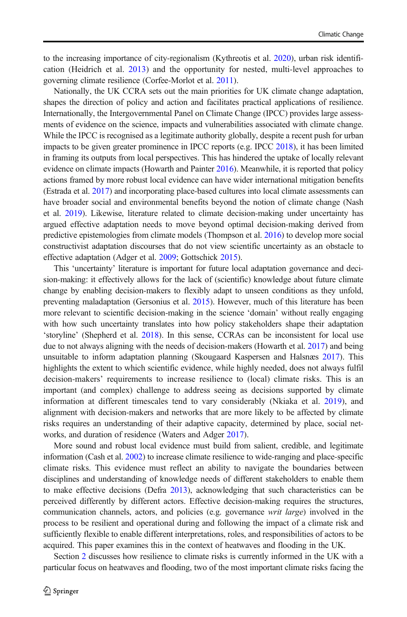to the increasing importance of city-regionalism (Kythreotis et al. [2020](#page-20-0)), urban risk identification (Heidrich et al. [2013\)](#page-20-0) and the opportunity for nested, multi-level approaches to governing climate resilience (Corfee-Morlot et al. [2011](#page-19-0)).

Nationally, the UK CCRA sets out the main priorities for UK climate change adaptation, shapes the direction of policy and action and facilitates practical applications of resilience. Internationally, the Intergovernmental Panel on Climate Change (IPCC) provides large assessments of evidence on the science, impacts and vulnerabilities associated with climate change. While the IPCC is recognised as a legitimate authority globally, despite a recent push for urban impacts to be given greater prominence in IPCC reports (e.g. IPCC [2018\)](#page-20-0), it has been limited in framing its outputs from local perspectives. This has hindered the uptake of locally relevant evidence on climate impacts (Howarth and Painter [2016](#page-20-0)). Meanwhile, it is reported that policy actions framed by more robust local evidence can have wider international mitigation benefits (Estrada et al. [2017](#page-19-0)) and incorporating place-based cultures into local climate assessments can have broader social and environmental benefits beyond the notion of climate change (Nash et al. [2019\)](#page-20-0). Likewise, literature related to climate decision-making under uncertainty has argued effective adaptation needs to move beyond optimal decision-making derived from predictive epistemologies from climate models (Thompson et al. [2016\)](#page-21-0) to develop more social constructivist adaptation discourses that do not view scientific uncertainty as an obstacle to effective adaptation (Adger et al. [2009](#page-19-0); Gottschick [2015\)](#page-20-0).

This 'uncertainty' literature is important for future local adaptation governance and decision-making: it effectively allows for the lack of (scientific) knowledge about future climate change by enabling decision-makers to flexibly adapt to unseen conditions as they unfold, preventing maladaptation (Gersonius et al. [2015\)](#page-20-0). However, much of this literature has been more relevant to scientific decision-making in the science 'domain' without really engaging with how such uncertainty translates into how policy stakeholders shape their adaptation 'storyline' (Shepherd et al. [2018](#page-21-0)). In this sense, CCRAs can be inconsistent for local use due to not always aligning with the needs of decision-makers (Howarth et al. [2017\)](#page-20-0) and being unsuitable to inform adaptation planning (Skougaard Kaspersen and Halsnæs [2017\)](#page-21-0). This highlights the extent to which scientific evidence, while highly needed, does not always fulfil decision-makers' requirements to increase resilience to (local) climate risks. This is an important (and complex) challenge to address seeing as decisions supported by climate information at different timescales tend to vary considerably (Nkiaka et al. [2019](#page-20-0)), and alignment with decision-makers and networks that are more likely to be affected by climate risks requires an understanding of their adaptive capacity, determined by place, social networks, and duration of residence (Waters and Adger [2017](#page-21-0)).

More sound and robust local evidence must build from salient, credible, and legitimate information (Cash et al. [2002\)](#page-19-0) to increase climate resilience to wide-ranging and place-specific climate risks. This evidence must reflect an ability to navigate the boundaries between disciplines and understanding of knowledge needs of different stakeholders to enable them to make effective decisions (Defra [2013](#page-19-0)), acknowledging that such characteristics can be perceived differently by different actors. Effective decision-making requires the structures, communication channels, actors, and policies (e.g. governance *writ large*) involved in the process to be resilient and operational during and following the impact of a climate risk and sufficiently flexible to enable different interpretations, roles, and responsibilities of actors to be acquired. This paper examines this in the context of heatwaves and flooding in the UK.

Section [2](#page-2-0) discusses how resilience to climate risks is currently informed in the UK with a particular focus on heatwaves and flooding, two of the most important climate risks facing the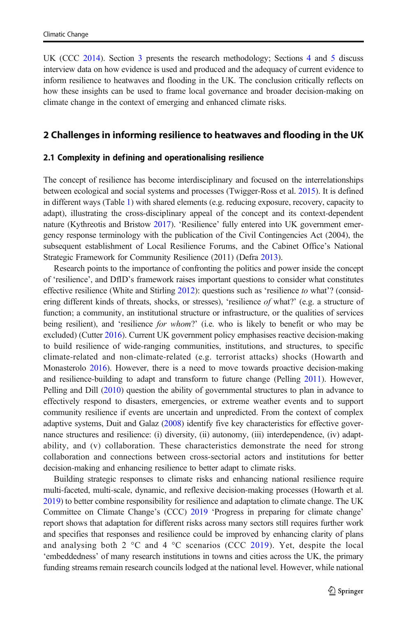<span id="page-2-0"></span>UK (CCC [2014](#page-19-0)). Section [3](#page-5-0) presents the research methodology; Sections [4](#page-6-0) and [5](#page-11-0) discuss interview data on how evidence is used and produced and the adequacy of current evidence to inform resilience to heatwaves and flooding in the UK. The conclusion critically reflects on how these insights can be used to frame local governance and broader decision-making on climate change in the context of emerging and enhanced climate risks.

#### 2 Challenges in informing resilience to heatwaves and flooding in the UK

#### 2.1 Complexity in defining and operationalising resilience

The concept of resilience has become interdisciplinary and focused on the interrelationships between ecological and social systems and processes (Twigger-Ross et al. [2015\)](#page-21-0). It is defined in different ways (Table [1](#page-3-0)) with shared elements (e.g. reducing exposure, recovery, capacity to adapt), illustrating the cross-disciplinary appeal of the concept and its context-dependent nature (Kythreotis and Bristow [2017\)](#page-20-0). 'Resilience' fully entered into UK government emergency response terminology with the publication of the Civil Contingencies Act (2004), the subsequent establishment of Local Resilience Forums, and the Cabinet Office's National Strategic Framework for Community Resilience (2011) (Defra [2013](#page-19-0)).

Research points to the importance of confronting the politics and power inside the concept of 'resilience', and DfID's framework raises important questions to consider what constitutes effective resilience (White and Stirling [2012](#page-21-0)): questions such as 'resilience to what'? (considering different kinds of threats, shocks, or stresses), 'resilience of what?' (e.g. a structure of function; a community, an institutional structure or infrastructure, or the qualities of services being resilient), and 'resilience for whom?' (i.e. who is likely to benefit or who may be excluded) (Cutter [2016\)](#page-19-0). Current UK government policy emphasises reactive decision-making to build resilience of wide-ranging communities, institutions, and structures, to specific climate-related and non-climate-related (e.g. terrorist attacks) shocks (Howarth and Monasterolo [2016](#page-20-0)). However, there is a need to move towards proactive decision-making and resilience-building to adapt and transform to future change (Pelling [2011](#page-20-0)). However, Pelling and Dill [\(2010\)](#page-20-0) question the ability of governmental structures to plan in advance to effectively respond to disasters, emergencies, or extreme weather events and to support community resilience if events are uncertain and unpredicted. From the context of complex adaptive systems, Duit and Galaz [\(2008\)](#page-19-0) identify five key characteristics for effective governance structures and resilience: (i) diversity, (ii) autonomy, (iii) interdependence, (iv) adaptability, and (v) collaboration. These characteristics demonstrate the need for strong collaboration and connections between cross-sectorial actors and institutions for better decision-making and enhancing resilience to better adapt to climate risks.

Building strategic responses to climate risks and enhancing national resilience require multi-faceted, multi-scale, dynamic, and reflexive decision-making processes (Howarth et al. [2019](#page-20-0)) to better combine responsibility for resilience and adaptation to climate change. The UK Committee on Climate Change's (CCC) [2019](#page-19-0) 'Progress in preparing for climate change' report shows that adaptation for different risks across many sectors still requires further work and specifies that responses and resilience could be improved by enhancing clarity of plans and analysing both 2  $\degree$ C and 4  $\degree$ C scenarios (CCC [2019\)](#page-19-0). Yet, despite the local 'embeddedness' of many research institutions in towns and cities across the UK, the primary funding streams remain research councils lodged at the national level. However, while national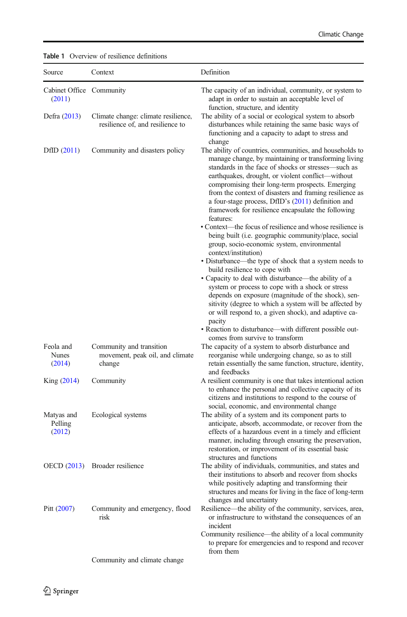| Source                              | Context                                                                 | Definition                                                                                                                                                                                                                                                                                                                                                                                                                                                                                                                                                                                |
|-------------------------------------|-------------------------------------------------------------------------|-------------------------------------------------------------------------------------------------------------------------------------------------------------------------------------------------------------------------------------------------------------------------------------------------------------------------------------------------------------------------------------------------------------------------------------------------------------------------------------------------------------------------------------------------------------------------------------------|
| Cabinet Office Community<br>(2011)  |                                                                         | The capacity of an individual, community, or system to<br>adapt in order to sustain an acceptable level of<br>function, structure, and identity                                                                                                                                                                                                                                                                                                                                                                                                                                           |
| Defra (2013)                        | Climate change: climate resilience,<br>resilience of, and resilience to | The ability of a social or ecological system to absorb<br>disturbances while retaining the same basic ways of<br>functioning and a capacity to adapt to stress and<br>change                                                                                                                                                                                                                                                                                                                                                                                                              |
| DfID $(2011)$                       | Community and disasters policy                                          | The ability of countries, communities, and households to<br>manage change, by maintaining or transforming living<br>standards in the face of shocks or stresses—such as<br>earthquakes, drought, or violent conflict—without<br>compromising their long-term prospects. Emerging<br>from the context of disasters and framing resilience as<br>a four-stage process, DfID's (2011) definition and<br>framework for resilience encapsulate the following<br>features:<br>• Context—the focus of resilience and whose resilience is<br>being built (i.e. geographic community/place, social |
|                                     |                                                                         | group, socio-economic system, environmental<br>context/institution)<br>• Disturbance—the type of shock that a system needs to                                                                                                                                                                                                                                                                                                                                                                                                                                                             |
|                                     |                                                                         | build resilience to cope with<br>• Capacity to deal with disturbance—the ability of a<br>system or process to cope with a shock or stress<br>depends on exposure (magnitude of the shock), sen-<br>sitivity (degree to which a system will be affected by<br>or will respond to, a given shock), and adaptive ca-<br>pacity                                                                                                                                                                                                                                                               |
|                                     |                                                                         | • Reaction to disturbance—with different possible out-                                                                                                                                                                                                                                                                                                                                                                                                                                                                                                                                    |
| Feola and<br><b>Nunes</b><br>(2014) | Community and transition<br>movement, peak oil, and climate<br>change   | comes from survive to transform<br>The capacity of a system to absorb disturbance and<br>reorganise while undergoing change, so as to still<br>retain essentially the same function, structure, identity,<br>and feedbacks                                                                                                                                                                                                                                                                                                                                                                |
| King (2014)                         | Community                                                               | A resilient community is one that takes intentional action<br>to enhance the personal and collective capacity of its<br>citizens and institutions to respond to the course of<br>social, economic, and environmental change                                                                                                                                                                                                                                                                                                                                                               |
| Matyas and<br>Pelling<br>(2012)     | Ecological systems                                                      | The ability of a system and its component parts to<br>anticipate, absorb, accommodate, or recover from the<br>effects of a hazardous event in a timely and efficient<br>manner, including through ensuring the preservation,<br>restoration, or improvement of its essential basic<br>structures and functions                                                                                                                                                                                                                                                                            |
|                                     | OECD (2013) Broader resilience                                          | The ability of individuals, communities, and states and<br>their institutions to absorb and recover from shocks<br>while positively adapting and transforming their<br>structures and means for living in the face of long-term<br>changes and uncertainty                                                                                                                                                                                                                                                                                                                                |
| Pitt $(2007)$                       | Community and emergency, flood<br>risk                                  | Resilience—the ability of the community, services, area,<br>or infrastructure to withstand the consequences of an<br>incident<br>Community resilience—the ability of a local community                                                                                                                                                                                                                                                                                                                                                                                                    |
|                                     |                                                                         | to prepare for emergencies and to respond and recover<br>from them                                                                                                                                                                                                                                                                                                                                                                                                                                                                                                                        |
|                                     | Community and climate change                                            |                                                                                                                                                                                                                                                                                                                                                                                                                                                                                                                                                                                           |

#### <span id="page-3-0"></span>Table 1 Overview of resilience definitions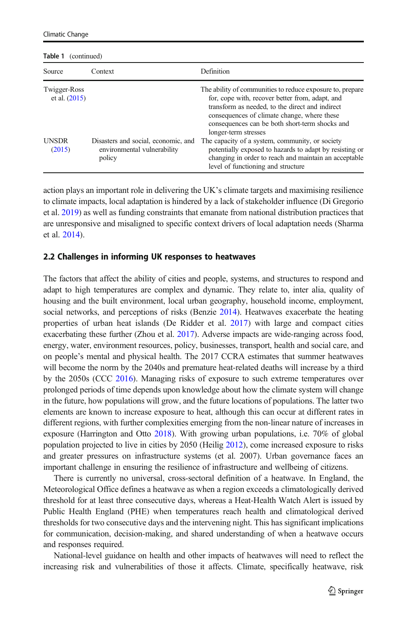| i                                               |                                       |                                                                                                                                                                                                                                                                                                                                             |  |
|-------------------------------------------------|---------------------------------------|---------------------------------------------------------------------------------------------------------------------------------------------------------------------------------------------------------------------------------------------------------------------------------------------------------------------------------------------|--|
| Source                                          | Context                               | Definition                                                                                                                                                                                                                                                                                                                                  |  |
| Twigger-Ross<br>et al. $(2015)$<br><b>UNSDR</b> | Disasters and social, economic, and   | The ability of communities to reduce exposure to, prepare<br>for, cope with, recover better from, adapt, and<br>transform as needed, to the direct and indirect<br>consequences of climate change, where these<br>consequences can be both short-term shocks and<br>longer-term stresses<br>The capacity of a system, community, or society |  |
| (2015)                                          | environmental vulnerability<br>policy | potentially exposed to hazards to adapt by resisting or<br>changing in order to reach and maintain an acceptable<br>level of functioning and structure                                                                                                                                                                                      |  |

action plays an important role in delivering the UK's climate targets and maximising resilience to climate impacts, local adaptation is hindered by a lack of stakeholder influence (Di Gregorio et al. [2019](#page-19-0)) as well as funding constraints that emanate from national distribution practices that are unresponsive and misaligned to specific context drivers of local adaptation needs (Sharma et al. [2014](#page-21-0)).

#### 2.2 Challenges in informing UK responses to heatwaves

The factors that affect the ability of cities and people, systems, and structures to respond and adapt to high temperatures are complex and dynamic. They relate to, inter alia, quality of housing and the built environment, local urban geography, household income, employment, social networks, and perceptions of risks (Benzie [2014\)](#page-19-0). Heatwaves exacerbate the heating properties of urban heat islands (De Ridder et al. [2017\)](#page-19-0) with large and compact cities exacerbating these further (Zhou et al. [2017\)](#page-21-0). Adverse impacts are wide-ranging across food, energy, water, environment resources, policy, businesses, transport, health and social care, and on people's mental and physical health. The 2017 CCRA estimates that summer heatwaves will become the norm by the 2040s and premature heat-related deaths will increase by a third by the 2050s (CCC [2016\)](#page-19-0). Managing risks of exposure to such extreme temperatures over prolonged periods of time depends upon knowledge about how the climate system will change in the future, how populations will grow, and the future locations of populations. The latter two elements are known to increase exposure to heat, although this can occur at different rates in different regions, with further complexities emerging from the non-linear nature of increases in exposure (Harrington and Otto [2018](#page-20-0)). With growing urban populations, i.e. 70% of global population projected to live in cities by 2050 (Heilig [2012](#page-20-0)), come increased exposure to risks and greater pressures on infrastructure systems (et al. 2007). Urban governance faces an important challenge in ensuring the resilience of infrastructure and wellbeing of citizens.

There is currently no universal, cross-sectoral definition of a heatwave. In England, the Meteorological Office defines a heatwave as when a region exceeds a climatologically derived threshold for at least three consecutive days, whereas a Heat-Health Watch Alert is issued by Public Health England (PHE) when temperatures reach health and climatological derived thresholds for two consecutive days and the intervening night. This has significant implications for communication, decision-making, and shared understanding of when a heatwave occurs and responses required.

National-level guidance on health and other impacts of heatwaves will need to reflect the increasing risk and vulnerabilities of those it affects. Climate, specifically heatwave, risk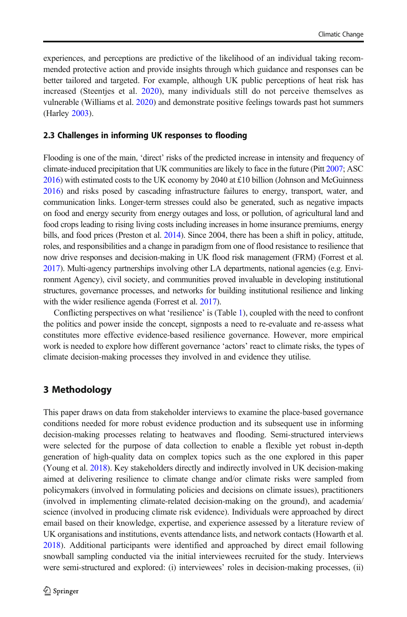<span id="page-5-0"></span>experiences, and perceptions are predictive of the likelihood of an individual taking recommended protective action and provide insights through which guidance and responses can be better tailored and targeted. For example, although UK public perceptions of heat risk has increased (Steentjes et al. [2020\)](#page-21-0), many individuals still do not perceive themselves as vulnerable (Williams et al. [2020](#page-21-0)) and demonstrate positive feelings towards past hot summers (Harley [2003\)](#page-20-0).

#### 2.3 Challenges in informing UK responses to flooding

Flooding is one of the main, 'direct' risks of the predicted increase in intensity and frequency of climate-induced precipitation that UK communities are likely to face in the future (Pitt [2007](#page-20-0); ASC [2016\)](#page-19-0) with estimated costs to the UK economy by 2040 at £10 billion (Johnson and McGuinness [2016](#page-20-0)) and risks posed by cascading infrastructure failures to energy, transport, water, and communication links. Longer-term stresses could also be generated, such as negative impacts on food and energy security from energy outages and loss, or pollution, of agricultural land and food crops leading to rising living costs including increases in home insurance premiums, energy bills, and food prices (Preston et al. [2014](#page-20-0)). Since 2004, there has been a shift in policy, attitude, roles, and responsibilities and a change in paradigm from one of flood resistance to resilience that now drive responses and decision-making in UK flood risk management (FRM) (Forrest et al. [2017\)](#page-20-0). Multi-agency partnerships involving other LA departments, national agencies (e.g. Environment Agency), civil society, and communities proved invaluable in developing institutional structures, governance processes, and networks for building institutional resilience and linking with the wider resilience agenda (Forrest et al. [2017](#page-20-0)).

Conflicting perspectives on what 'resilience' is (Table [1](#page-3-0)), coupled with the need to confront the politics and power inside the concept, signposts a need to re-evaluate and re-assess what constitutes more effective evidence-based resilience governance. However, more empirical work is needed to explore how different governance 'actors' react to climate risks, the types of climate decision-making processes they involved in and evidence they utilise.

#### 3 Methodology

This paper draws on data from stakeholder interviews to examine the place-based governance conditions needed for more robust evidence production and its subsequent use in informing decision-making processes relating to heatwaves and flooding. Semi-structured interviews were selected for the purpose of data collection to enable a flexible yet robust in-depth generation of high-quality data on complex topics such as the one explored in this paper (Young et al. [2018\)](#page-21-0). Key stakeholders directly and indirectly involved in UK decision-making aimed at delivering resilience to climate change and/or climate risks were sampled from policymakers (involved in formulating policies and decisions on climate issues), practitioners (involved in implementing climate-related decision-making on the ground), and academia/ science (involved in producing climate risk evidence). Individuals were approached by direct email based on their knowledge, expertise, and experience assessed by a literature review of UK organisations and institutions, events attendance lists, and network contacts (Howarth et al. [2018](#page-20-0)). Additional participants were identified and approached by direct email following snowball sampling conducted via the initial interviewees recruited for the study. Interviews were semi-structured and explored: (i) interviewees' roles in decision-making processes, (ii)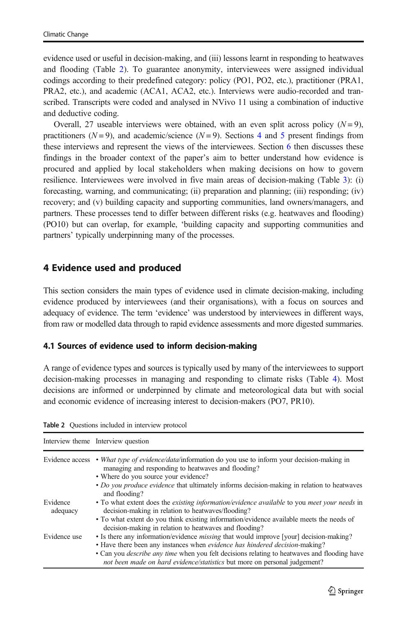<span id="page-6-0"></span>evidence used or useful in decision-making, and (iii) lessons learnt in responding to heatwaves and flooding (Table 2). To guarantee anonymity, interviewees were assigned individual codings according to their predefined category: policy (PO1, PO2, etc.), practitioner (PRA1, PRA2, etc.), and academic (ACA1, ACA2, etc.). Interviews were audio-recorded and transcribed. Transcripts were coded and analysed in NVivo 11 using a combination of inductive and deductive coding.

Overall, 27 useable interviews were obtained, with an even split across policy  $(N=9)$ , practitioners ( $N = 9$ ), and academic/science ( $N = 9$ ). Sections 4 and [5](#page-11-0) present findings from these interviews and represent the views of the interviewees. Section [6](#page-17-0) then discusses these findings in the broader context of the paper's aim to better understand how evidence is procured and applied by local stakeholders when making decisions on how to govern resilience. Interviewees were involved in five main areas of decision-making (Table [3](#page-7-0)): (i) forecasting, warning, and communicating; (ii) preparation and planning; (iii) responding; (iv) recovery; and (v) building capacity and supporting communities, land owners/managers, and partners. These processes tend to differ between different risks (e.g. heatwaves and flooding) (PO10) but can overlap, for example, 'building capacity and supporting communities and partners' typically underpinning many of the processes.

## 4 Evidence used and produced

This section considers the main types of evidence used in climate decision-making, including evidence produced by interviewees (and their organisations), with a focus on sources and adequacy of evidence. The term 'evidence' was understood by interviewees in different ways, from raw or modelled data through to rapid evidence assessments and more digested summaries.

### 4.1 Sources of evidence used to inform decision-making

A range of evidence types and sources is typically used by many of the interviewees to support decision-making processes in managing and responding to climate risks (Table [4\)](#page-8-0). Most decisions are informed or underpinned by climate and meteorological data but with social and economic evidence of increasing interest to decision-makers (PO7, PR10).

|                      | Interview theme Interview question                                                                                                                                                                                                                                                                                                                              |
|----------------------|-----------------------------------------------------------------------------------------------------------------------------------------------------------------------------------------------------------------------------------------------------------------------------------------------------------------------------------------------------------------|
|                      | Evidence access • What type of evidence/data/information do you use to inform your decision-making in<br>managing and responding to heatwaves and flooding?<br>• Where do you source your evidence?                                                                                                                                                             |
|                      | • Do you produce evidence that ultimately informs decision-making in relation to heatway be<br>and flooding?                                                                                                                                                                                                                                                    |
| Evidence<br>adequacy | • To what extent does the <i>existing information/evidence available</i> to you <i>meet your needs</i> in<br>decision-making in relation to heatwaves/flooding?                                                                                                                                                                                                 |
|                      | • To what extent do you think existing information/evidence available meets the needs of<br>decision-making in relation to heatwaves and flooding?                                                                                                                                                                                                              |
| Evidence use         | • Is there any information/evidence <i>missing</i> that would improve [your] decision-making?<br>• Have there been any instances when evidence has hindered decision-making?<br>• Can you <i>describe any time</i> when you felt decisions relating to heatwayes and flooding have<br>not been made on hard evidence/statistics but more on personal judgement? |

Table 2 Questions included in interview protocol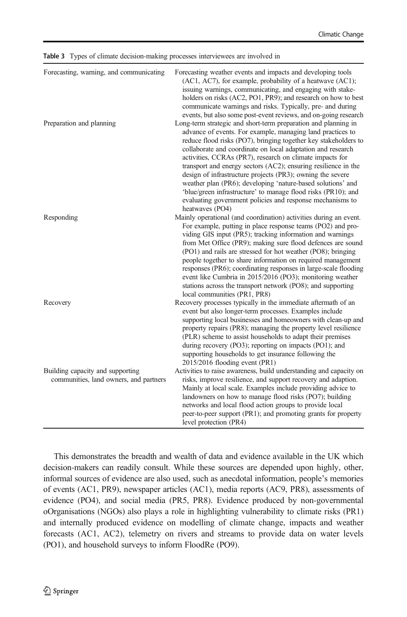| Forecasting, warning, and communicating                                    | Forecasting weather events and impacts and developing tools<br>(AC1, AC7), for example, probability of a heatwave (AC1);<br>issuing warnings, communicating, and engaging with stake-<br>holders on risks (AC2, PO1, PR9); and research on how to best<br>communicate warnings and risks. Typically, pre- and during                                                                                                                                                                                                                                                                                                                                          |
|----------------------------------------------------------------------------|---------------------------------------------------------------------------------------------------------------------------------------------------------------------------------------------------------------------------------------------------------------------------------------------------------------------------------------------------------------------------------------------------------------------------------------------------------------------------------------------------------------------------------------------------------------------------------------------------------------------------------------------------------------|
| Preparation and planning                                                   | events, but also some post-event reviews, and on-going research<br>Long-term strategic and short-term preparation and planning in<br>advance of events. For example, managing land practices to<br>reduce flood risks (PO7), bringing together key stakeholders to<br>collaborate and coordinate on local adaptation and research<br>activities, CCRAs (PR7), research on climate impacts for<br>transport and energy sectors (AC2); ensuring resilience in the<br>design of infrastructure projects (PR3); owning the severe<br>weather plan (PR6); developing 'nature-based solutions' and<br>'blue/green infrastructure' to manage flood risks (PR10); and |
| Responding                                                                 | evaluating government policies and response mechanisms to<br>heatwaves (PO4)<br>Mainly operational (and coordination) activities during an event.<br>For example, putting in place response teams (PO2) and pro-<br>viding GIS input (PR5); tracking information and warnings<br>from Met Office (PR9); making sure flood defences are sound<br>(PO1) and rails are stressed for hot weather (PO8); bringing<br>people together to share information on required management                                                                                                                                                                                   |
| Recovery                                                                   | responses (PR6); coordinating responses in large-scale flooding<br>event like Cumbria in 2015/2016 (PO3); monitoring weather<br>stations across the transport network (PO8); and supporting<br>local communities (PR1, PR8)<br>Recovery processes typically in the immediate aftermath of an<br>event but also longer-term processes. Examples include<br>supporting local businesses and homeowners with clean-up and<br>property repairs (PR8); managing the property level resilience<br>(PLR) scheme to assist households to adapt their premises                                                                                                         |
| Building capacity and supporting<br>communities, land owners, and partners | during recovery (PO3); reporting on impacts (PO1); and<br>supporting households to get insurance following the<br>2015/2016 flooding event (PR1)<br>Activities to raise awareness, build understanding and capacity on<br>risks, improve resilience, and support recovery and adaption.<br>Mainly at local scale. Examples include providing advice to<br>landowners on how to manage flood risks (PO7); building<br>networks and local flood action groups to provide local<br>peer-to-peer support (PR1); and promoting grants for property<br>level protection (PR4)                                                                                       |

<span id="page-7-0"></span>Table 3 Types of climate decision-making processes interviewees are involved in

This demonstrates the breadth and wealth of data and evidence available in the UK which decision-makers can readily consult. While these sources are depended upon highly, other, informal sources of evidence are also used, such as anecdotal information, people's memories of events (AC1, PR9), newspaper articles (AC1), media reports (AC9, PR8), assessments of evidence (PO4), and social media (PR5, PR8). Evidence produced by non-governmental oOrganisations (NGOs) also plays a role in highlighting vulnerability to climate risks (PR1) and internally produced evidence on modelling of climate change, impacts and weather forecasts (AC1, AC2), telemetry on rivers and streams to provide data on water levels (PO1), and household surveys to inform FloodRe (PO9).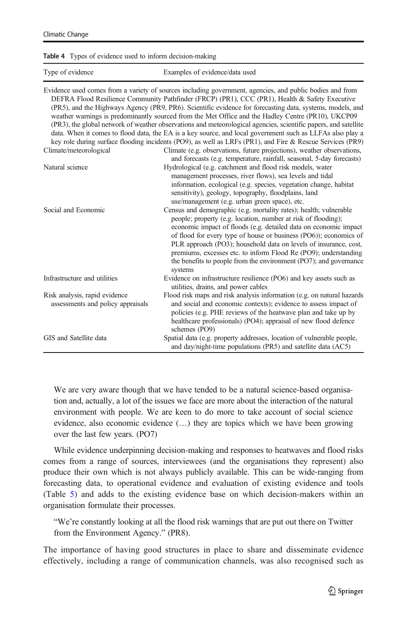#### <span id="page-8-0"></span>Table 4 Types of evidence used to inform decision-making

| Type of evidence |  |  |
|------------------|--|--|
|                  |  |  |

Examples of evidence/data used

| Climate/meteorological                                             | Evidence used comes from a variety of sources including government, agencies, and public bodies and from<br>DEFRA Flood Resilience Community Pathfinder (FRCP) (PR1), CCC (PR1), Health & Safety Executive<br>(PR5), and the Highways Agency (PR9, PR6). Scientific evidence for forecasting data, systems, models, and<br>weather warnings is predominantly sourced from the Met Office and the Hadley Centre (PR10), UKCP09<br>(PR3), the global network of weather observations and meteorological agencies, scientific papers, and satellite<br>data. When it comes to flood data, the EA is a key source, and local government such as LLFAs also play a<br>key role during surface flooding incidents (PO9), as well as LRFs (PR1), and Fire & Rescue Services (PR9)<br>Climate (e.g. observations, future projections), weather observations, |
|--------------------------------------------------------------------|------------------------------------------------------------------------------------------------------------------------------------------------------------------------------------------------------------------------------------------------------------------------------------------------------------------------------------------------------------------------------------------------------------------------------------------------------------------------------------------------------------------------------------------------------------------------------------------------------------------------------------------------------------------------------------------------------------------------------------------------------------------------------------------------------------------------------------------------------|
| Natural science                                                    | and forecasts (e.g. temperature, rainfall, seasonal, 5-day forecasts)<br>Hydrological (e.g. catchment and flood risk models, water<br>management processes, river flows), sea levels and tidal<br>information, ecological (e.g. species, vegetation change, habitat<br>sensitivity), geology, topography, floodplains, land<br>use/management (e.g. urban green space), etc.                                                                                                                                                                                                                                                                                                                                                                                                                                                                         |
| Social and Economic                                                | Census and demographic (e.g. mortality rates); health; vulnerable<br>people; property (e.g. location, number at risk of flooding);<br>economic impact of floods (e.g. detailed data on economic impact<br>of flood for every type of house or business (PO6)); economics of<br>PLR approach (PO3); household data on levels of insurance, cost,<br>premiums, excesses etc. to inform Flood Re (PO9); understanding<br>the benefits to people from the environment (PO7); and governance<br>systems                                                                                                                                                                                                                                                                                                                                                   |
| Infrastructure and utilities                                       | Evidence on infrastructure resilience (PO6) and key assets such as<br>utilities, drains, and power cables                                                                                                                                                                                                                                                                                                                                                                                                                                                                                                                                                                                                                                                                                                                                            |
| Risk analysis, rapid evidence<br>assessments and policy appraisals | Flood risk maps and risk analysis information (e.g. on natural hazards<br>and social and economic contexts); evidence to assess impact of<br>policies (e.g. PHE reviews of the heatwave plan and take up by<br>healthcare professionals) (PO4); appraisal of new flood defence<br>schemes (PO9)                                                                                                                                                                                                                                                                                                                                                                                                                                                                                                                                                      |
| GIS and Satellite data                                             | Spatial data (e.g. property addresses, location of vulnerable people,<br>and day/night-time populations (PR5) and satellite data (AC5)                                                                                                                                                                                                                                                                                                                                                                                                                                                                                                                                                                                                                                                                                                               |

We are very aware though that we have tended to be a natural science-based organisation and, actually, a lot of the issues we face are more about the interaction of the natural environment with people. We are keen to do more to take account of social science evidence, also economic evidence  $(...)$  they are topics which we have been growing over the last few years. (PO7)

While evidence underpinning decision-making and responses to heatwaves and flood risks comes from a range of sources, interviewees (and the organisations they represent) also produce their own which is not always publicly available. This can be wide-ranging from forecasting data, to operational evidence and evaluation of existing evidence and tools (Table [5](#page-9-0)) and adds to the existing evidence base on which decision-makers within an organisation formulate their processes.

"We're constantly looking at all the flood risk warnings that are put out there on Twitter from the Environment Agency." (PR8).

The importance of having good structures in place to share and disseminate evidence effectively, including a range of communication channels, was also recognised such as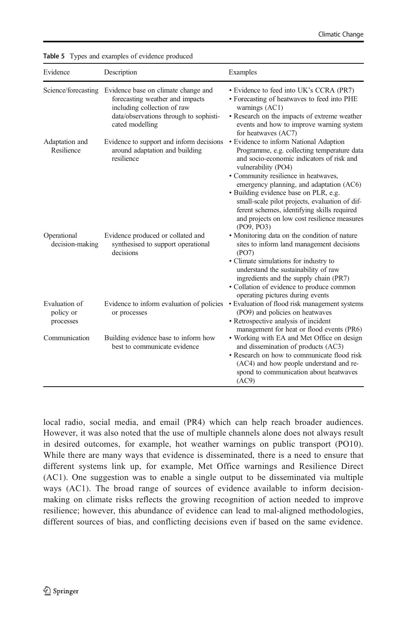| Evidence                                | Description                                                                                                                                                        | Examples                                                                                                                                                                                                                                                                                                                                                                                                                                              |
|-----------------------------------------|--------------------------------------------------------------------------------------------------------------------------------------------------------------------|-------------------------------------------------------------------------------------------------------------------------------------------------------------------------------------------------------------------------------------------------------------------------------------------------------------------------------------------------------------------------------------------------------------------------------------------------------|
| Science/forecasting                     | Evidence base on climate change and<br>forecasting weather and impacts<br>including collection of raw<br>data/observations through to sophisti-<br>cated modelling | • Evidence to feed into UK's CCRA (PR7)<br>• Forecasting of heatwaves to feed into PHE<br>warnings (AC1)<br>• Research on the impacts of extreme weather<br>events and how to improve warning system<br>for heatwaves (AC7)                                                                                                                                                                                                                           |
| Adaptation and<br>Resilience            | Evidence to support and inform decisions<br>around adaptation and building<br>resilience                                                                           | • Evidence to inform National Adaption<br>Programme, e.g. collecting temperature data<br>and socio-economic indicators of risk and<br>vulnerability (PO4)<br>• Community resilience in heatwaves,<br>emergency planning, and adaptation (AC6)<br>• Building evidence base on PLR, e.g.<br>small-scale pilot projects, evaluation of dif-<br>ferent schemes, identifying skills required<br>and projects on low cost resilience measures<br>(PO9, PO3) |
| Operational<br>decision-making          | Evidence produced or collated and<br>synthesised to support operational<br>decisions                                                                               | • Monitoring data on the condition of nature<br>sites to inform land management decisions<br>(PO7)<br>• Climate simulations for industry to<br>understand the sustainability of raw<br>ingredients and the supply chain (PR7)<br>• Collation of evidence to produce common<br>operating pictures during events                                                                                                                                        |
| Evaluation of<br>policy or<br>processes | Evidence to inform evaluation of policies<br>or processes                                                                                                          | • Evaluation of flood risk management systems<br>(PO9) and policies on heatwaves<br>• Retrospective analysis of incident<br>management for heat or flood events (PR6)                                                                                                                                                                                                                                                                                 |
| Communication                           | Building evidence base to inform how<br>best to communicate evidence                                                                                               | • Working with EA and Met Office on design<br>and dissemination of products (AC3)<br>• Research on how to communicate flood risk<br>(AC4) and how people understand and re-<br>spond to communication about heatwaves<br>(AC9)                                                                                                                                                                                                                        |

<span id="page-9-0"></span>Table 5 Types and examples of evidence produced

local radio, social media, and email (PR4) which can help reach broader audiences. However, it was also noted that the use of multiple channels alone does not always result in desired outcomes, for example, hot weather warnings on public transport (PO10). While there are many ways that evidence is disseminated, there is a need to ensure that different systems link up, for example, Met Office warnings and Resilience Direct (AC1). One suggestion was to enable a single output to be disseminated via multiple ways (AC1). The broad range of sources of evidence available to inform decisionmaking on climate risks reflects the growing recognition of action needed to improve resilience; however, this abundance of evidence can lead to mal-aligned methodologies, different sources of bias, and conflicting decisions even if based on the same evidence.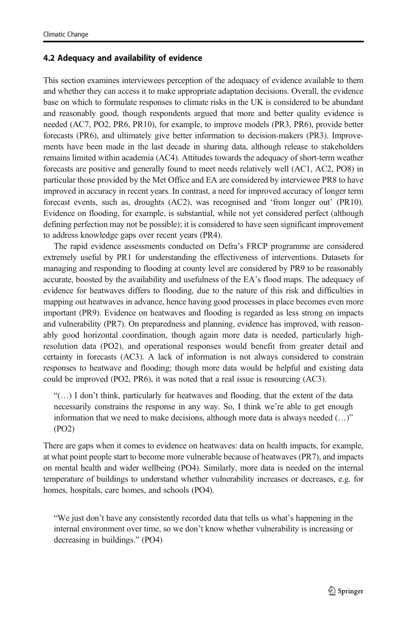### 4.2 Adequacy and availability of evidence

This section examines interviewees perception of the adequacy of evidence available to them and whether they can access it to make appropriate adaptation decisions. Overall, the evidence base on which to formulate responses to climate risks in the UK is considered to be abundant and reasonably good, though respondents argued that more and better quality evidence is needed (AC7, PO2, PR6, PR10), for example, to improve models (PR3, PR6), provide better forecasts (PR6), and ultimately give better information to decision-makers (PR3). Improvements have been made in the last decade in sharing data, although release to stakeholders remains limited within academia (AC4). Attitudes towards the adequacy of short-term weather forecasts are positive and generally found to meet needs relatively well (AC1, AC2, PO8) in particular those provided by the Met Office and EA are considered by interviewee PR8 to have improved in accuracy in recent years. In contrast, a need for improved accuracy of longer term forecast events, such as, droughts (AC2), was recognised and 'from longer out' (PR10). Evidence on flooding, for example, is substantial, while not yet considered perfect (although defining perfection may not be possible); it is considered to have seen significant improvement to address knowledge gaps over recent years (PR4).

The rapid evidence assessments conducted on Defra's FRCP programme are considered extremely useful by PR1 for understanding the effectiveness of interventions. Datasets for managing and responding to flooding at county level are considered by PR9 to be reasonably accurate, boosted by the availability and usefulness of the EA's flood maps. The adequacy of evidence for heatwaves differs to flooding, due to the nature of this risk and difficulties in mapping out heatwaves in advance, hence having good processes in place becomes even more important (PR9). Evidence on heatwaves and flooding is regarded as less strong on impacts and vulnerability (PR7). On preparedness and planning, evidence has improved, with reasonably good horizontal coordination, though again more data is needed, particularly highresolution data (PO2), and operational responses would benefit from greater detail and certainty in forecasts (AC3). A lack of information is not always considered to constrain responses to heatwave and flooding; though more data would be helpful and existing data could be improved (PO2, PR6), it was noted that a real issue is resourcing (AC3).

"(…) I don't think, particularly for heatwaves and flooding, that the extent of the data necessarily constrains the response in any way. So, I think we're able to get enough information that we need to make decisions, although more data is always needed (…)" (PO2)

There are gaps when it comes to evidence on heatwaves: data on health impacts, for example, at what point people start to become more vulnerable because of heatwaves (PR7), and impacts on mental health and wider wellbeing (PO4). Similarly, more data is needed on the internal temperature of buildings to understand whether vulnerability increases or decreases, e.g. for homes, hospitals, care homes, and schools (PO4).

"We just don't have any consistently recorded data that tells us what's happening in the internal environment over time, so we don't know whether vulnerability is increasing or decreasing in buildings." (PO4)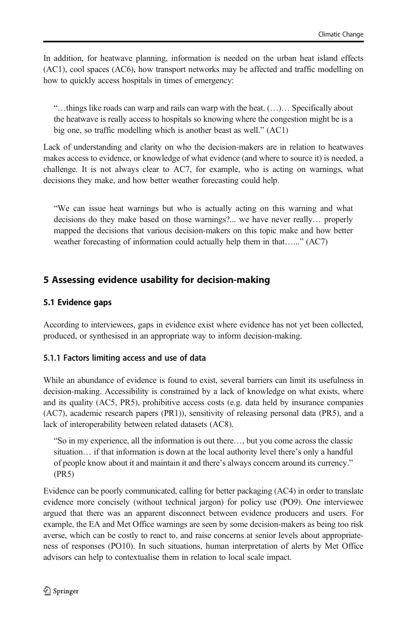<span id="page-11-0"></span>In addition, for heatwave planning, information is needed on the urban heat island effects (AC1), cool spaces (AC6), how transport networks may be affected and traffic modelling on how to quickly access hospitals in times of emergency:

"…things like roads can warp and rails can warp with the heat. (…)… Specifically about the heatwave is really access to hospitals so knowing where the congestion might be is a big one, so traffic modelling which is another beast as well." (AC1)

Lack of understanding and clarity on who the decision-makers are in relation to heatwaves makes access to evidence, or knowledge of what evidence (and where to source it) is needed, a challenge. It is not always clear to AC7, for example, who is acting on warnings, what decisions they make, and how better weather forecasting could help.

"We can issue heat warnings but who is actually acting on this warning and what decisions do they make based on those warnings?... we have never really… properly mapped the decisions that various decision-makers on this topic make and how better weather forecasting of information could actually help them in that…..." (AC7)

## 5 Assessing evidence usability for decision-making

#### 5.1 Evidence gaps

According to interviewees, gaps in evidence exist where evidence has not yet been collected, produced, or synthesised in an appropriate way to inform decision-making.

#### 5.1.1 Factors limiting access and use of data

While an abundance of evidence is found to exist, several barriers can limit its usefulness in decision-making. Accessibility is constrained by a lack of knowledge on what exists, where and its quality (AC5, PR5), prohibitive access costs (e.g. data held by insurance companies (AC7), academic research papers (PR1)), sensitivity of releasing personal data (PR5), and a lack of interoperability between related datasets (AC8).

"So in my experience, all the information is out there…, but you come across the classic situation… if that information is down at the local authority level there's only a handful of people know about it and maintain it and there's always concern around its currency." (PR5)

Evidence can be poorly communicated, calling for better packaging (AC4) in order to translate evidence more concisely (without technical jargon) for policy use (PO9). One interviewee argued that there was an apparent disconnect between evidence producers and users. For example, the EA and Met Office warnings are seen by some decision-makers as being too risk averse, which can be costly to react to, and raise concerns at senior levels about appropriateness of responses (PO10). In such situations, human interpretation of alerts by Met Office advisors can help to contextualise them in relation to local scale impact.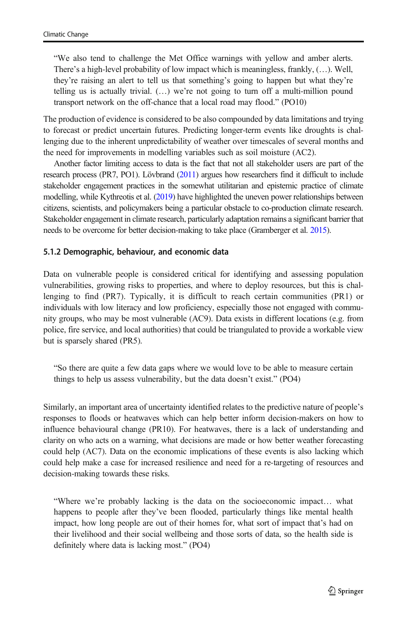"We also tend to challenge the Met Office warnings with yellow and amber alerts. There's a high-level probability of low impact which is meaningless, frankly, (…). Well, they're raising an alert to tell us that something's going to happen but what they're telling us is actually trivial.  $(...)$  we're not going to turn off a multi-million pound transport network on the off-chance that a local road may flood." (PO10)

The production of evidence is considered to be also compounded by data limitations and trying to forecast or predict uncertain futures. Predicting longer-term events like droughts is challenging due to the inherent unpredictability of weather over timescales of several months and the need for improvements in modelling variables such as soil moisture (AC2).

Another factor limiting access to data is the fact that not all stakeholder users are part of the research process (PR7, PO1). Lövbrand [\(2011\)](#page-20-0) argues how researchers find it difficult to include stakeholder engagement practices in the somewhat utilitarian and epistemic practice of climate modelling, while Kythreotis et al. ([2019](#page-20-0)) have highlighted the uneven power relationships between citizens, scientists, and policymakers being a particular obstacle to co-production climate research. Stakeholder engagement in climate research, particularly adaptation remains a significant barrier that needs to be overcome for better decision-making to take place (Gramberger et al. [2015\)](#page-20-0).

#### 5.1.2 Demographic, behaviour, and economic data

Data on vulnerable people is considered critical for identifying and assessing population vulnerabilities, growing risks to properties, and where to deploy resources, but this is challenging to find (PR7). Typically, it is difficult to reach certain communities (PR1) or individuals with low literacy and low proficiency, especially those not engaged with community groups, who may be most vulnerable (AC9). Data exists in different locations (e.g. from police, fire service, and local authorities) that could be triangulated to provide a workable view but is sparsely shared (PR5).

"So there are quite a few data gaps where we would love to be able to measure certain things to help us assess vulnerability, but the data doesn't exist." (PO4)

Similarly, an important area of uncertainty identified relates to the predictive nature of people's responses to floods or heatwaves which can help better inform decision-makers on how to influence behavioural change (PR10). For heatwaves, there is a lack of understanding and clarity on who acts on a warning, what decisions are made or how better weather forecasting could help (AC7). Data on the economic implications of these events is also lacking which could help make a case for increased resilience and need for a re-targeting of resources and decision-making towards these risks.

"Where we're probably lacking is the data on the socioeconomic impact… what happens to people after they've been flooded, particularly things like mental health impact, how long people are out of their homes for, what sort of impact that's had on their livelihood and their social wellbeing and those sorts of data, so the health side is definitely where data is lacking most." (PO4)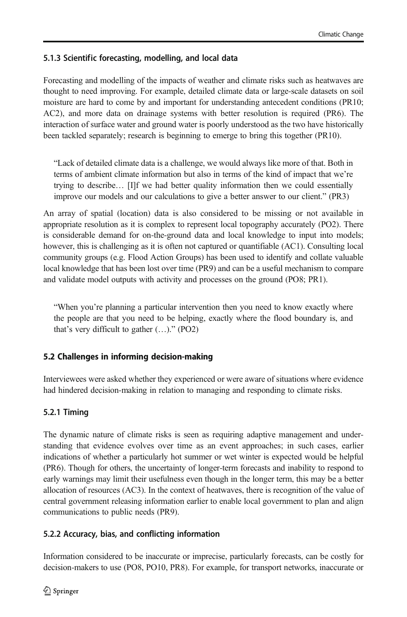## 5.1.3 Scientific forecasting, modelling, and local data

Forecasting and modelling of the impacts of weather and climate risks such as heatwaves are thought to need improving. For example, detailed climate data or large-scale datasets on soil moisture are hard to come by and important for understanding antecedent conditions (PR10; AC2), and more data on drainage systems with better resolution is required (PR6). The interaction of surface water and ground water is poorly understood as the two have historically been tackled separately; research is beginning to emerge to bring this together (PR10).

"Lack of detailed climate data is a challenge, we would always like more of that. Both in terms of ambient climate information but also in terms of the kind of impact that we're trying to describe… [I]f we had better quality information then we could essentially improve our models and our calculations to give a better answer to our client." (PR3)

An array of spatial (location) data is also considered to be missing or not available in appropriate resolution as it is complex to represent local topography accurately (PO2). There is considerable demand for on-the-ground data and local knowledge to input into models; however, this is challenging as it is often not captured or quantifiable (AC1). Consulting local community groups (e.g. Flood Action Groups) has been used to identify and collate valuable local knowledge that has been lost over time (PR9) and can be a useful mechanism to compare and validate model outputs with activity and processes on the ground (PO8; PR1).

"When you're planning a particular intervention then you need to know exactly where the people are that you need to be helping, exactly where the flood boundary is, and that's very difficult to gather (…)." (PO2)

### 5.2 Challenges in informing decision-making

Interviewees were asked whether they experienced or were aware of situations where evidence had hindered decision-making in relation to managing and responding to climate risks.

## 5.2.1 Timing

The dynamic nature of climate risks is seen as requiring adaptive management and understanding that evidence evolves over time as an event approaches; in such cases, earlier indications of whether a particularly hot summer or wet winter is expected would be helpful (PR6). Though for others, the uncertainty of longer-term forecasts and inability to respond to early warnings may limit their usefulness even though in the longer term, this may be a better allocation of resources (AC3). In the context of heatwaves, there is recognition of the value of central government releasing information earlier to enable local government to plan and align communications to public needs (PR9).

### 5.2.2 Accuracy, bias, and conflicting information

Information considered to be inaccurate or imprecise, particularly forecasts, can be costly for decision-makers to use (PO8, PO10, PR8). For example, for transport networks, inaccurate or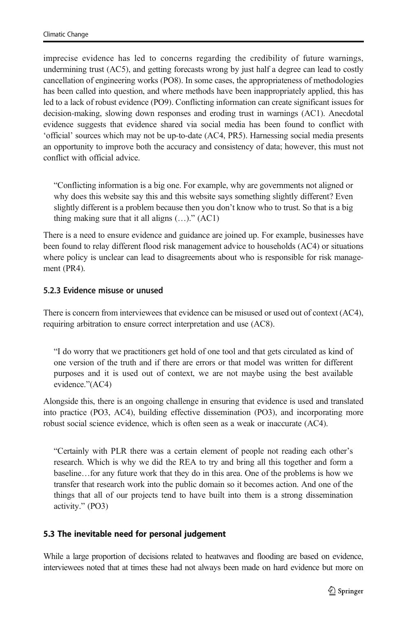imprecise evidence has led to concerns regarding the credibility of future warnings, undermining trust (AC5), and getting forecasts wrong by just half a degree can lead to costly cancellation of engineering works (PO8). In some cases, the appropriateness of methodologies has been called into question, and where methods have been inappropriately applied, this has led to a lack of robust evidence (PO9). Conflicting information can create significant issues for decision-making, slowing down responses and eroding trust in warnings (AC1). Anecdotal evidence suggests that evidence shared via social media has been found to conflict with 'official' sources which may not be up-to-date (AC4, PR5). Harnessing social media presents an opportunity to improve both the accuracy and consistency of data; however, this must not conflict with official advice.

"Conflicting information is a big one. For example, why are governments not aligned or why does this website say this and this website says something slightly different? Even slightly different is a problem because then you don't know who to trust. So that is a big thing making sure that it all aligns  $(...)$ ."  $(AC1)$ 

There is a need to ensure evidence and guidance are joined up. For example, businesses have been found to relay different flood risk management advice to households (AC4) or situations where policy is unclear can lead to disagreements about who is responsible for risk management (PR4).

#### 5.2.3 Evidence misuse or unused

There is concern from interviewees that evidence can be misused or used out of context (AC4), requiring arbitration to ensure correct interpretation and use (AC8).

"I do worry that we practitioners get hold of one tool and that gets circulated as kind of one version of the truth and if there are errors or that model was written for different purposes and it is used out of context, we are not maybe using the best available evidence."(AC4)

Alongside this, there is an ongoing challenge in ensuring that evidence is used and translated into practice (PO3, AC4), building effective dissemination (PO3), and incorporating more robust social science evidence, which is often seen as a weak or inaccurate (AC4).

"Certainly with PLR there was a certain element of people not reading each other's research. Which is why we did the REA to try and bring all this together and form a baseline…for any future work that they do in this area. One of the problems is how we transfer that research work into the public domain so it becomes action. And one of the things that all of our projects tend to have built into them is a strong dissemination activity." (PO3)

### 5.3 The inevitable need for personal judgement

While a large proportion of decisions related to heatwaves and flooding are based on evidence, interviewees noted that at times these had not always been made on hard evidence but more on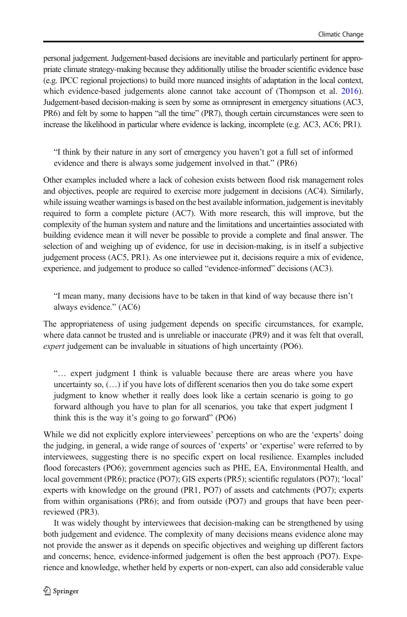personal judgement. Judgement-based decisions are inevitable and particularly pertinent for appropriate climate strategy-making because they additionally utilise the broader scientific evidence base (e.g. IPCC regional projections) to build more nuanced insights of adaptation in the local context, which evidence-based judgements alone cannot take account of (Thompson et al. [2016](#page-21-0)). Judgement-based decision-making is seen by some as omnipresent in emergency situations (AC3, PR6) and felt by some to happen "all the time" (PR7), though certain circumstances were seen to increase the likelihood in particular where evidence is lacking, incomplete (e.g. AC3, AC6; PR1).

"I think by their nature in any sort of emergency you haven't got a full set of informed evidence and there is always some judgement involved in that." (PR6)

Other examples included where a lack of cohesion exists between flood risk management roles and objectives, people are required to exercise more judgement in decisions (AC4). Similarly, while issuing weather warnings is based on the best available information, judgement is inevitably required to form a complete picture (AC7). With more research, this will improve, but the complexity of the human system and nature and the limitations and uncertainties associated with building evidence mean it will never be possible to provide a complete and final answer. The selection of and weighing up of evidence, for use in decision-making, is in itself a subjective judgement process (AC5, PR1). As one interviewee put it, decisions require a mix of evidence, experience, and judgement to produce so called "evidence-informed" decisions (AC3).

"I mean many, many decisions have to be taken in that kind of way because there isn't always evidence." (AC6)

The appropriateness of using judgement depends on specific circumstances, for example, where data cannot be trusted and is unreliable or inaccurate (PR9) and it was felt that overall, expert judgement can be invaluable in situations of high uncertainty (PO6).

"… expert judgment I think is valuable because there are areas where you have uncertainty so, (…) if you have lots of different scenarios then you do take some expert judgment to know whether it really does look like a certain scenario is going to go forward although you have to plan for all scenarios, you take that expert judgment I think this is the way it's going to go forward" (PO6)

While we did not explicitly explore interviewees' perceptions on who are the 'experts' doing the judging, in general, a wide range of sources of 'experts' or 'expertise' were referred to by interviewees, suggesting there is no specific expert on local resilience. Examples included flood forecasters (PO6); government agencies such as PHE, EA, Environmental Health, and local government (PR6); practice (PO7); GIS experts (PR5); scientific regulators (PO7); 'local' experts with knowledge on the ground (PR1, PO7) of assets and catchments (PO7); experts from within organisations (PR6); and from outside (PO7) and groups that have been peerreviewed (PR3).

It was widely thought by interviewees that decision-making can be strengthened by using both judgement and evidence. The complexity of many decisions means evidence alone may not provide the answer as it depends on specific objectives and weighing up different factors and concerns; hence, evidence-informed judgement is often the best approach (PO7). Experience and knowledge, whether held by experts or non-expert, can also add considerable value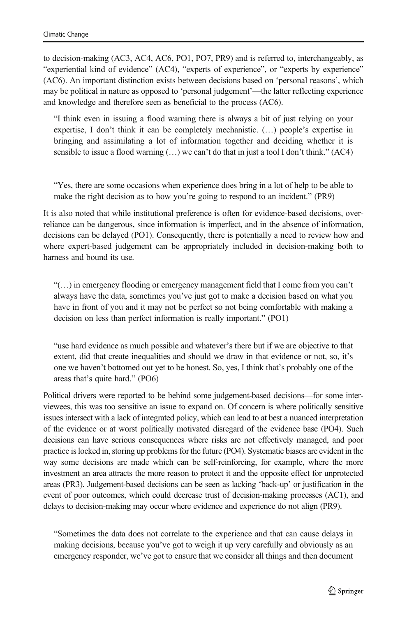to decision-making (AC3, AC4, AC6, PO1, PO7, PR9) and is referred to, interchangeably, as "experiential kind of evidence" (AC4), "experts of experience", or "experts by experience" (AC6). An important distinction exists between decisions based on 'personal reasons', which may be political in nature as opposed to 'personal judgement'—the latter reflecting experience and knowledge and therefore seen as beneficial to the process (AC6).

"I think even in issuing a flood warning there is always a bit of just relying on your expertise, I don't think it can be completely mechanistic. (…) people's expertise in bringing and assimilating a lot of information together and deciding whether it is sensible to issue a flood warning  $(...)$  we can't do that in just a tool I don't think."  $(AC4)$ 

"Yes, there are some occasions when experience does bring in a lot of help to be able to make the right decision as to how you're going to respond to an incident." (PR9)

It is also noted that while institutional preference is often for evidence-based decisions, overreliance can be dangerous, since information is imperfect, and in the absence of information, decisions can be delayed (PO1). Consequently, there is potentially a need to review how and where expert-based judgement can be appropriately included in decision-making both to harness and bound its use.

"(…) in emergency flooding or emergency management field that I come from you can't always have the data, sometimes you've just got to make a decision based on what you have in front of you and it may not be perfect so not being comfortable with making a decision on less than perfect information is really important." (PO1)

"use hard evidence as much possible and whatever's there but if we are objective to that extent, did that create inequalities and should we draw in that evidence or not, so, it's one we haven't bottomed out yet to be honest. So, yes, I think that's probably one of the areas that's quite hard." (PO6)

Political drivers were reported to be behind some judgement-based decisions—for some interviewees, this was too sensitive an issue to expand on. Of concern is where politically sensitive issues intersect with a lack of integrated policy, which can lead to at best a nuanced interpretation of the evidence or at worst politically motivated disregard of the evidence base (PO4). Such decisions can have serious consequences where risks are not effectively managed, and poor practice is locked in, storing up problems for the future (PO4). Systematic biases are evident in the way some decisions are made which can be self-reinforcing, for example, where the more investment an area attracts the more reason to protect it and the opposite effect for unprotected areas (PR3). Judgement-based decisions can be seen as lacking 'back-up' or justification in the event of poor outcomes, which could decrease trust of decision-making processes (AC1), and delays to decision-making may occur where evidence and experience do not align (PR9).

"Sometimes the data does not correlate to the experience and that can cause delays in making decisions, because you've got to weigh it up very carefully and obviously as an emergency responder, we've got to ensure that we consider all things and then document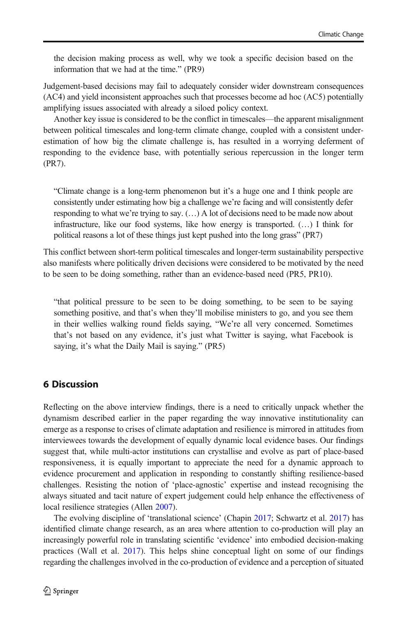<span id="page-17-0"></span>the decision making process as well, why we took a specific decision based on the information that we had at the time." (PR9)

Judgement-based decisions may fail to adequately consider wider downstream consequences (AC4) and yield inconsistent approaches such that processes become ad hoc (AC5) potentially amplifying issues associated with already a siloed policy context.

Another key issue is considered to be the conflict in timescales—the apparent misalignment between political timescales and long-term climate change, coupled with a consistent underestimation of how big the climate challenge is, has resulted in a worrying deferment of responding to the evidence base, with potentially serious repercussion in the longer term (PR7).

"Climate change is a long-term phenomenon but it's a huge one and I think people are consistently under estimating how big a challenge we're facing and will consistently defer responding to what we're trying to say. (…) A lot of decisions need to be made now about infrastructure, like our food systems, like how energy is transported. (…) I think for political reasons a lot of these things just kept pushed into the long grass" (PR7)

This conflict between short-term political timescales and longer-term sustainability perspective also manifests where politically driven decisions were considered to be motivated by the need to be seen to be doing something, rather than an evidence-based need (PR5, PR10).

"that political pressure to be seen to be doing something, to be seen to be saying something positive, and that's when they'll mobilise ministers to go, and you see them in their wellies walking round fields saying, "We're all very concerned. Sometimes that's not based on any evidence, it's just what Twitter is saying, what Facebook is saying, it's what the Daily Mail is saying." (PR5)

## 6 Discussion

Reflecting on the above interview findings, there is a need to critically unpack whether the dynamism described earlier in the paper regarding the way innovative institutionality can emerge as a response to crises of climate adaptation and resilience is mirrored in attitudes from interviewees towards the development of equally dynamic local evidence bases. Our findings suggest that, while multi-actor institutions can crystallise and evolve as part of place-based responsiveness, it is equally important to appreciate the need for a dynamic approach to evidence procurement and application in responding to constantly shifting resilience-based challenges. Resisting the notion of 'place-agnostic' expertise and instead recognising the always situated and tacit nature of expert judgement could help enhance the effectiveness of local resilience strategies (Allen [2007](#page-19-0)).

The evolving discipline of 'translational science' (Chapin [2017;](#page-19-0) Schwartz et al. [2017\)](#page-20-0) has identified climate change research, as an area where attention to co-production will play an increasingly powerful role in translating scientific 'evidence' into embodied decision-making practices (Wall et al. [2017\)](#page-21-0). This helps shine conceptual light on some of our findings regarding the challenges involved in the co-production of evidence and a perception of situated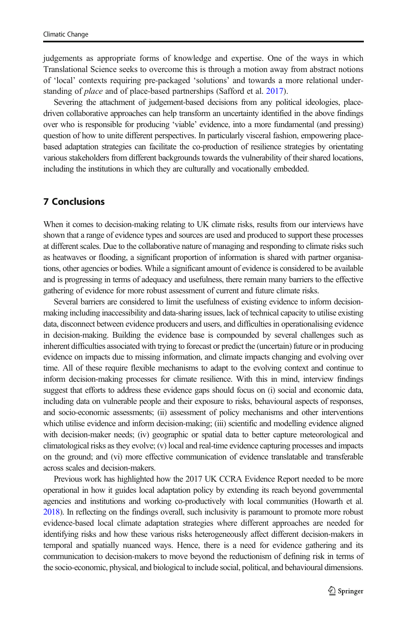judgements as appropriate forms of knowledge and expertise. One of the ways in which Translational Science seeks to overcome this is through a motion away from abstract notions of 'local' contexts requiring pre-packaged 'solutions' and towards a more relational understanding of *place* and of place-based partnerships (Safford et al. [2017](#page-20-0)).

Severing the attachment of judgement-based decisions from any political ideologies, placedriven collaborative approaches can help transform an uncertainty identified in the above findings over who is responsible for producing 'viable' evidence, into a more fundamental (and pressing) question of how to unite different perspectives. In particularly visceral fashion, empowering placebased adaptation strategies can facilitate the co-production of resilience strategies by orientating various stakeholders from different backgrounds towards the vulnerability of their shared locations, including the institutions in which they are culturally and vocationally embedded.

### 7 Conclusions

When it comes to decision-making relating to UK climate risks, results from our interviews have shown that a range of evidence types and sources are used and produced to support these processes at different scales. Due to the collaborative nature of managing and responding to climate risks such as heatwaves or flooding, a significant proportion of information is shared with partner organisations, other agencies or bodies. While a significant amount of evidence is considered to be available and is progressing in terms of adequacy and usefulness, there remain many barriers to the effective gathering of evidence for more robust assessment of current and future climate risks.

Several barriers are considered to limit the usefulness of existing evidence to inform decisionmaking including inaccessibility and data-sharing issues, lack of technical capacity to utilise existing data, disconnect between evidence producers and users, and difficulties in operationalising evidence in decision-making. Building the evidence base is compounded by several challenges such as inherent difficulties associated with trying to forecast or predict the (uncertain) future or in producing evidence on impacts due to missing information, and climate impacts changing and evolving over time. All of these require flexible mechanisms to adapt to the evolving context and continue to inform decision-making processes for climate resilience. With this in mind, interview findings suggest that efforts to address these evidence gaps should focus on (i) social and economic data, including data on vulnerable people and their exposure to risks, behavioural aspects of responses, and socio-economic assessments; (ii) assessment of policy mechanisms and other interventions which utilise evidence and inform decision-making; (iii) scientific and modelling evidence aligned with decision-maker needs; (iv) geographic or spatial data to better capture meteorological and climatological risks as they evolve; (v) local and real-time evidence capturing processes and impacts on the ground; and (vi) more effective communication of evidence translatable and transferable across scales and decision-makers.

Previous work has highlighted how the 2017 UK CCRA Evidence Report needed to be more operational in how it guides local adaptation policy by extending its reach beyond governmental agencies and institutions and working co-productively with local communities (Howarth et al. [2018\)](#page-20-0). In reflecting on the findings overall, such inclusivity is paramount to promote more robust evidence-based local climate adaptation strategies where different approaches are needed for identifying risks and how these various risks heterogeneously affect different decision-makers in temporal and spatially nuanced ways. Hence, there is a need for evidence gathering and its communication to decision-makers to move beyond the reductionism of defining risk in terms of the socio-economic, physical, and biological to include social, political, and behavioural dimensions.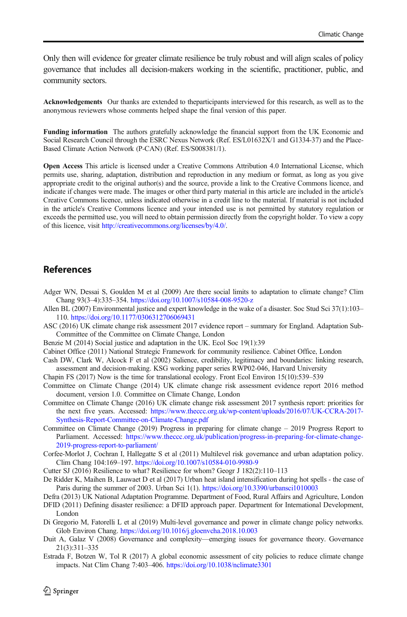<span id="page-19-0"></span>Only then will evidence for greater climate resilience be truly robust and will align scales of policy governance that includes all decision-makers working in the scientific, practitioner, public, and community sectors.

Acknowledgements Our thanks are extended to theparticipants interviewed for this research, as well as to the anonymous reviewers whose comments helped shape the final version of this paper.

Funding information The authors gratefully acknowledge the financial support from the UK Economic and Social Research Council through the ESRC Nexus Network (Ref. ES/L01632X/1 and G1334-37) and the Place-Based Climate Action Network (P-CAN) (Ref. ES/S008381/1).

Open Access This article is licensed under a Creative Commons Attribution 4.0 International License, which permits use, sharing, adaptation, distribution and reproduction in any medium or format, as long as you give appropriate credit to the original author(s) and the source, provide a link to the Creative Commons licence, and indicate if changes were made. The images or other third party material in this article are included in the article's Creative Commons licence, unless indicated otherwise in a credit line to the material. If material is not included in the article's Creative Commons licence and your intended use is not permitted by statutory regulation or exceeds the permitted use, you will need to obtain permission directly from the copyright holder. To view a copy of this licence, visit [http://creativecommons.org/licenses/by/4.0/.](https://doi.org/)

### References

- Adger WN, Dessai S, Goulden M et al (2009) Are there social limits to adaptation to climate change? Clim Chang 93(3–4):335–354. <https://doi.org/10.1007/s10584-008-9520-z>
- Allen BL (2007) Environmental justice and expert knowledge in the wake of a disaster. Soc Stud Sci 37(1):103– 110. <https://doi.org/10.1177/0306312706069431>
- ASC (2016) UK climate change risk assessment 2017 evidence report summary for England. Adaptation Sub-Committee of the Committee on Climate Change, London
- Benzie M (2014) Social justice and adaptation in the UK. Ecol Soc 19(1):39
- Cabinet Office (2011) National Strategic Framework for community resilience. Cabinet Office, London
- Cash DW, Clark W, Alcock F et al (2002) Salience, credibility, legitimacy and boundaries: linking research, assessment and decision-making. KSG working paper series RWP02-046, Harvard University
- Chapin FS (2017) Now is the time for translational ecology. Front Ecol Environ 15(10):539–539
- Committee on Climate Change (2014) UK climate change risk assessment evidence report 2016 method document, version 1.0. Committee on Climate Change, London
- Committee on Climate Change (2016) UK climate change risk assessment 2017 synthesis report: priorities for the next five years. Accessed: [https://www.theccc.org.uk/wp-content/uploads/2016/07/UK-CCRA-2017-](https://www.theccc.org.uk/wp-content/uploads/2016/07/UK-CCRA-2017-Synthesis-Report-Committee-on-Climate-Change.pdf) [Synthesis-Report-Committee-on-Climate-Change.pdf](https://www.theccc.org.uk/wp-content/uploads/2016/07/UK-CCRA-2017-Synthesis-Report-Committee-on-Climate-Change.pdf)
- Committee on Climate Change (2019) Progress in preparing for climate change 2019 Progress Report to Parliament. Accessed: [https://www.theccc.org.uk/publication/progress-in-preparing-for-climate-change-](https://www.theccc.org.uk/publication/progress-in-preparing-for-climate-change-2019-progress-report-to-parliament/)[2019-progress-report-to-parliament/](https://www.theccc.org.uk/publication/progress-in-preparing-for-climate-change-2019-progress-report-to-parliament/)
- Corfee-Morlot J, Cochran I, Hallegatte S et al (2011) Multilevel risk governance and urban adaptation policy. Clim Chang 104:169–197. <https://doi.org/10.1007/s10584-010-9980-9>
- Cutter SJ (2016) Resilience to what? Resilience for whom? Geogr J 182(2):110–113
- De Ridder K, Maihen B, Lauwaet D et al (2017) Urban heat island intensification during hot spells the case of Paris during the summer of 2003. Urban Sci 1(1). <https://doi.org/10.3390/urbansci1010003>
- Defra (2013) UK National Adaptation Programme. Department of Food, Rural Affairs and Agriculture, London DFID (2011) Defining disaster resilience: a DFID approach paper. Department for International Development, London
- Di Gregorio M, Fatorelli L et al (2019) Multi-level governance and power in climate change policy networks. Glob Environ Chang. <https://doi.org/10.1016/j.gloenvcha.2018.10.003>
- Duit A, Galaz V (2008) Governance and complexity—emerging issues for governance theory. Governance 21(3):311–335
- Estrada F, Botzen W, Tol R (2017) A global economic assessment of city policies to reduce climate change impacts. Nat Clim Chang 7:403–406. <https://doi.org/10.1038/nclimate3301>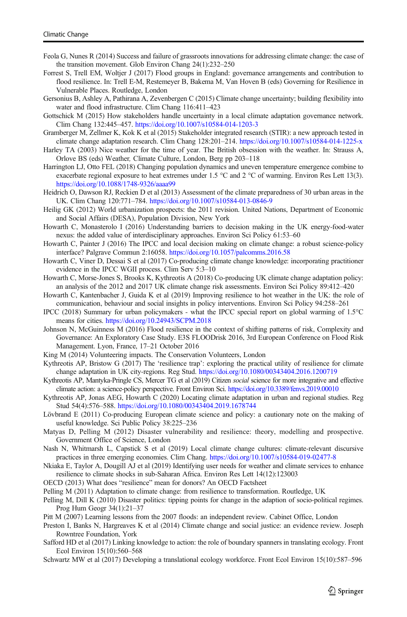- <span id="page-20-0"></span>Feola G, Nunes R (2014) Success and failure of grassroots innovations for addressing climate change: the case of the transition movement. Glob Environ Chang 24(1):232–250
- Forrest S, Trell EM, Woltjer J (2017) Flood groups in England: governance arrangements and contribution to flood resilience. In: Trell E-M, Restemeyer B, Bakema M, Van Hoven B (eds) Governing for Resilience in Vulnerable Places. Routledge, London
- Gersonius B, Ashley A, Pathirana A, Zevenbergen C (2015) Climate change uncertainty; building flexibility into water and flood infrastructure. Clim Chang 116:411–423
- Gottschick M (2015) How stakeholders handle uncertainty in a local climate adaptation governance network. Clim Chang 132:445–457. <https://doi.org/10.1007/s10584-014-1203-3>
- Gramberger M, Zellmer K, Kok K et al (2015) Stakeholder integrated research (STIR): a new approach tested in climate change adaptation research. Clim Chang 128:201–214. <https://doi.org/10.1007/s10584-014-1225-x>
- Harley TA (2003) Nice weather for the time of year. The British obsession with the weather. In: Strauss A, Orlove BS (eds) Weather, Climate Culture, London, Berg pp 203–118
- Harrington LJ, Otto FEL (2018) Changing population dynamics and uneven temperature emergence combine to exacerbate regional exposure to heat extremes under 1.5 °C and 2 °C of warming. Environ Res Lett 13(3). <https://doi.org/10.1088/1748-9326/aaaa99>
- Heidrich O, Dawson RJ, Reckien D et al (2013) Assessment of the climate preparedness of 30 urban areas in the UK. Clim Chang 120:771–784. <https://doi.org/10.1007/s10584-013-0846-9>
- Heilig GK (2012) World urbanization prospects: the 2011 revision. United Nations, Department of Economic and Social Affairs (DESA), Population Division, New York
- Howarth C, Monasterolo I (2016) Understanding barriers to decision making in the UK energy-food-water nexus: the added value of interdisciplinary approaches. Environ Sci Policy 61:53–60
- Howarth C, Painter J (2016) The IPCC and local decision making on climate change: a robust science-policy interface? Palgrave Commun 2:16058. <https://doi.org/10.1057/palcomms.2016.58>
- Howarth C, Viner D, Dessai S et al (2017) Co-producing climate change knowledge: incorporating practitioner evidence in the IPCC WGII process. Clim Serv 5:3–10
- Howarth C, Morse-Jones S, Brooks K, Kythreotis A (2018) Co-producing UK climate change adaptation policy: an analysis of the 2012 and 2017 UK climate change risk assessments. Environ Sci Policy 89:412–420
- Howarth C, Kantenbacher J, Guida K et al (2019) Improving resilience to hot weather in the UK: the role of communication, behaviour and social insights in policy interventions. Environ Sci Policy 94:258–261
- IPCC (2018) Summary for urban policymakers what the IPCC special report on global warming of 1.5°C means for cities. <https://doi.org/10.24943/SCPM.2018>
- Johnson N, McGuinness M (2016) Flood resilience in the context of shifting patterns of risk, Complexity and Governance: An Exploratory Case Study. E3S FLOODrisk 2016, 3rd European Conference on Flood Risk Management. Lyon, France, 17–21 October 2016
- King M (2014) Volunteering impacts. The Conservation Volunteers, London
- Kythreotis AP, Bristow G (2017) The 'resilience trap': exploring the practical utility of resilience for climate change adaptation in UK city-regions. Reg Stud. <https://doi.org/10.1080/00343404.2016.1200719>
- Kythreotis AP, Mantyka-Pringle CS, Mercer TG et al (2019) Citizen social science for more integrative and effective climate action: a science-policy perspective. Front Environ Sci. <https://doi.org/10.3389/fenvs.2019.00010>
- Kythreotis AP, Jonas AEG, Howarth C (2020) Locating climate adaptation in urban and regional studies. Reg Stud 54(4):576–588. <https://doi.org/10.1080/00343404.2019.1678744>
- Lövbrand E (2011) Co-producing European climate science and policy: a cautionary note on the making of useful knowledge. Sci Public Policy 38:225–236
- Matyas D, Pelling M (2012) Disaster vulnerability and resilience: theory, modelling and prospective. Government Office of Science, London
- Nash N, Whitmarsh L, Capstick S et al (2019) Local climate change cultures: climate-relevant discursive practices in three emerging economies. Clim Chang. <https://doi.org/10.1007/s10584-019-02477-8>
- Nkiaka E, Taylor A, Dougill AJ et al (2019) Identifying user needs for weather and climate services to enhance resilience to climate shocks in sub-Saharan Africa. Environ Res Lett 14(12):123003
- OECD (2013) What does "resilience" mean for donors? An OECD Factsheet
- Pelling M (2011) Adaptation to climate change: from resilience to transformation. Routledge, UK
- Pelling M, Dill K (2010) Disaster politics: tipping points for change in the adaption of socio-political regimes. Prog Hum Geogr 34(1):21–37
- Pitt M (2007) Learning lessons from the 2007 floods: an independent review. Cabinet Office, London
- Preston I, Banks N, Hargreaves K et al (2014) Climate change and social justice: an evidence review. Joseph Rowntree Foundation, York
- Safford HD et al (2017) Linking knowledge to action: the role of boundary spanners in translating ecology. Front Ecol Environ 15(10):560–568
- Schwartz MW et al (2017) Developing a translational ecology workforce. Front Ecol Environ 15(10):587–596